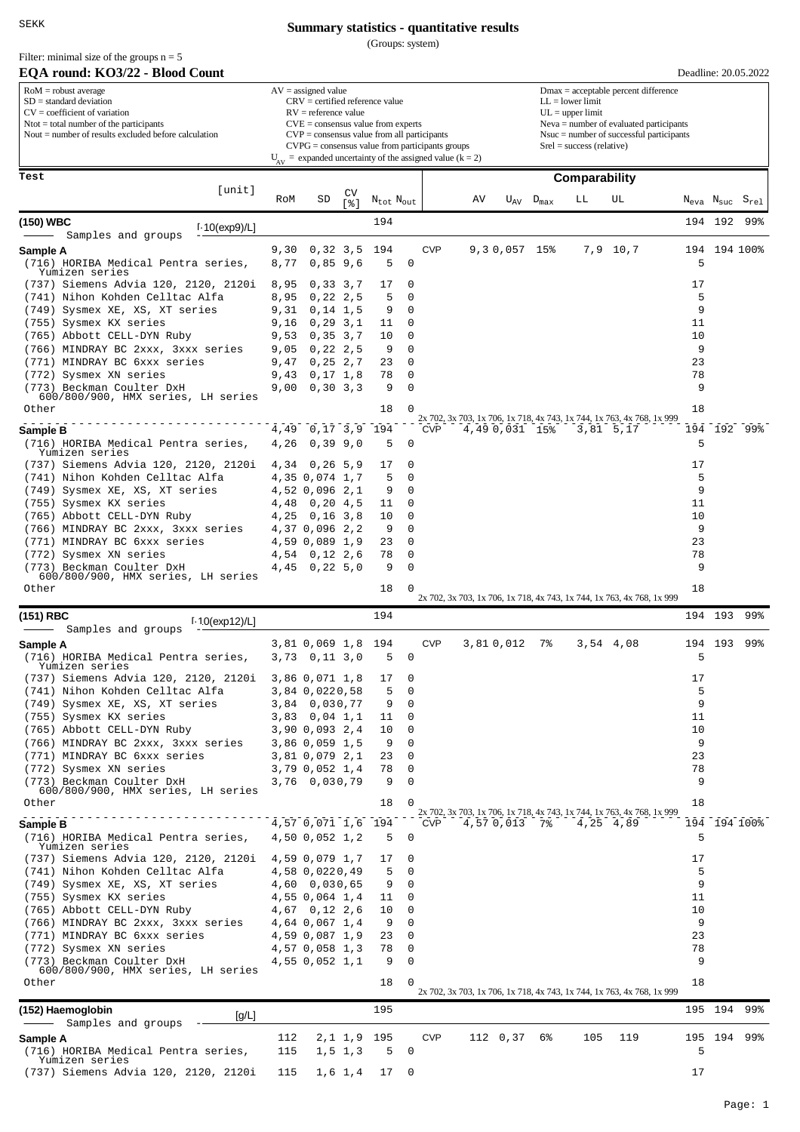SEKK

#### Filter: minimal size of the groups  $n = 5$

## **Summary statistics - quantitative results**

(Groups: system)

| EQA round: KO3/22 - Blood Count                                                                                                                                                                             |              |                                                                                                                                                                                                                                                                                                                          |               |                                   |             |            |    |                                                                                                                                                                                                               |                    |               |                                                                                     |          |         | Deadline: 20.05.2022                               |  |  |
|-------------------------------------------------------------------------------------------------------------------------------------------------------------------------------------------------------------|--------------|--------------------------------------------------------------------------------------------------------------------------------------------------------------------------------------------------------------------------------------------------------------------------------------------------------------------------|---------------|-----------------------------------|-------------|------------|----|---------------------------------------------------------------------------------------------------------------------------------------------------------------------------------------------------------------|--------------------|---------------|-------------------------------------------------------------------------------------|----------|---------|----------------------------------------------------|--|--|
| $RoM =$ robust average<br>$SD = standard deviation$<br>$CV = coefficient of variation$<br>$N\text{tot} = \text{total number of the participants}$<br>Nout $=$ number of results excluded before calculation |              | $AV = assigned value$<br>$CRV =$ certified reference value<br>$RV =$ reference value<br>$CVE = \text{consensus value from experts}$<br>$CVP = \text{consensus value from all participants}$<br>$CVPG = \text{consensus value from participants groups}$<br>$U_{av}$ = expanded uncertainty of the assigned value (k = 2) |               |                                   |             |            |    | $Dmax = acceptable percent difference$<br>$LL = lower limit$<br>$UL = upper limit$<br>$Neva = number of evaluated participants$<br>$N$ suc = number of successful participants<br>$Srel = success$ (relative) |                    |               |                                                                                     |          |         |                                                    |  |  |
|                                                                                                                                                                                                             |              |                                                                                                                                                                                                                                                                                                                          |               |                                   |             |            |    |                                                                                                                                                                                                               |                    |               |                                                                                     |          |         |                                                    |  |  |
| Test<br>[unit]                                                                                                                                                                                              |              |                                                                                                                                                                                                                                                                                                                          |               |                                   |             |            |    |                                                                                                                                                                                                               |                    | Comparability |                                                                                     |          |         |                                                    |  |  |
|                                                                                                                                                                                                             | RoM          | SD                                                                                                                                                                                                                                                                                                                       | CV<br>[ နှေ ] | $N_{\text{tot}}$ $N_{\text{out}}$ |             |            | AV |                                                                                                                                                                                                               | $U_{AV}$ $D_{max}$ | LЬ            | UL                                                                                  |          |         | $N_{\text{eva}}$ $N_{\text{suc}}$ $S_{\text{rel}}$ |  |  |
| (150) WBC<br>$1.10$ (exp9)/L]                                                                                                                                                                               |              |                                                                                                                                                                                                                                                                                                                          |               | 194                               |             |            |    |                                                                                                                                                                                                               |                    |               |                                                                                     |          | 194 192 | 99%                                                |  |  |
| Samples and groups                                                                                                                                                                                          |              |                                                                                                                                                                                                                                                                                                                          |               |                                   |             |            |    |                                                                                                                                                                                                               |                    |               |                                                                                     |          |         |                                                    |  |  |
| Sample A                                                                                                                                                                                                    | 9,30         | 0,32,3,5                                                                                                                                                                                                                                                                                                                 |               | 194                               |             | <b>CVP</b> |    | $9,30,057$ 15%                                                                                                                                                                                                |                    |               | 7,9 10,7                                                                            | 194      |         | 194 100%                                           |  |  |
| (716) HORIBA Medical Pentra series,<br>Yumizen series                                                                                                                                                       | 8,77         | 0,85,9,6                                                                                                                                                                                                                                                                                                                 |               | 5                                 | $\mathbf 0$ |            |    |                                                                                                                                                                                                               |                    |               |                                                                                     | 5        |         |                                                    |  |  |
| (737) Siemens Advia 120, 2120, 2120i                                                                                                                                                                        | 8,95         | 0,33,3,7                                                                                                                                                                                                                                                                                                                 |               | 17                                | 0           |            |    |                                                                                                                                                                                                               |                    |               |                                                                                     | 17       |         |                                                    |  |  |
| (741) Nihon Kohden Celltac Alfa                                                                                                                                                                             | 8,95         | 0, 22, 2, 5                                                                                                                                                                                                                                                                                                              |               | 5                                 | 0           |            |    |                                                                                                                                                                                                               |                    |               |                                                                                     | 5        |         |                                                    |  |  |
| (749) Sysmex XE, XS, XT series<br>(755) Sysmex KX series                                                                                                                                                    | 9,31<br>9,16 | $0,14$ 1,5                                                                                                                                                                                                                                                                                                               |               | 9<br>11                           | 0<br>0      |            |    |                                                                                                                                                                                                               |                    |               |                                                                                     | 9<br>11  |         |                                                    |  |  |
| (765) Abbott CELL-DYN Ruby                                                                                                                                                                                  | 9,53         | 0, 29, 3, 1<br>0,35,3,7                                                                                                                                                                                                                                                                                                  |               | 10                                | 0           |            |    |                                                                                                                                                                                                               |                    |               |                                                                                     | 10       |         |                                                    |  |  |
| (766) MINDRAY BC 2xxx, 3xxx series                                                                                                                                                                          | 9,05         | 0, 22, 2, 5                                                                                                                                                                                                                                                                                                              |               | 9                                 | 0           |            |    |                                                                                                                                                                                                               |                    |               |                                                                                     | 9        |         |                                                    |  |  |
| (771) MINDRAY BC 6xxx series                                                                                                                                                                                | 9,47         | 0, 25, 2, 7                                                                                                                                                                                                                                                                                                              |               | 23                                | 0           |            |    |                                                                                                                                                                                                               |                    |               |                                                                                     | 23       |         |                                                    |  |  |
| (772) Sysmex XN series                                                                                                                                                                                      | 9,43         | 0,17,1,8                                                                                                                                                                                                                                                                                                                 |               | 78                                | 0           |            |    |                                                                                                                                                                                                               |                    |               |                                                                                     | 78       |         |                                                    |  |  |
| (773) Beckman Coulter DxH<br>600/800/900, HMX series, LH series                                                                                                                                             |              | $9,00$ 0,30 3,3                                                                                                                                                                                                                                                                                                          |               | 9                                 | $\mathbf 0$ |            |    |                                                                                                                                                                                                               |                    |               |                                                                                     | 9        |         |                                                    |  |  |
| Other                                                                                                                                                                                                       |              |                                                                                                                                                                                                                                                                                                                          |               | 18                                | $\Omega$    |            |    |                                                                                                                                                                                                               |                    |               |                                                                                     | 18       |         |                                                    |  |  |
| Sample B                                                                                                                                                                                                    | 4,49         | 0,17,3,9                                                                                                                                                                                                                                                                                                                 |               | 194                               |             | <b>CVP</b> |    | 4,49 0,031 15%                                                                                                                                                                                                |                    |               | 2x 702, 3x 703, 1x 706, 1x 718, 4x 743, 1x 744, 1x 763, 4x 768, 1x 999<br>3,81 5,17 |          |         | 194 192 99%                                        |  |  |
| (716) HORIBA Medical Pentra series,                                                                                                                                                                         | 4,26         | 0,39,9,0                                                                                                                                                                                                                                                                                                                 |               | 5                                 | 0           |            |    |                                                                                                                                                                                                               |                    |               |                                                                                     | 5        |         |                                                    |  |  |
| Yumizen series                                                                                                                                                                                              |              |                                                                                                                                                                                                                                                                                                                          |               |                                   |             |            |    |                                                                                                                                                                                                               |                    |               |                                                                                     |          |         |                                                    |  |  |
| (737) Siemens Advia 120, 2120, 2120i<br>(741) Nihon Kohden Celltac Alfa                                                                                                                                     |              | 4,34 0,26<br>4,35 0,074 1,7                                                                                                                                                                                                                                                                                              | 5,9           | 17<br>5                           | 0<br>0      |            |    |                                                                                                                                                                                                               |                    |               |                                                                                     | 17<br>5  |         |                                                    |  |  |
| (749) Sysmex XE, XS, XT series                                                                                                                                                                              |              | 4,52 0,096 2,1                                                                                                                                                                                                                                                                                                           |               | 9                                 | 0           |            |    |                                                                                                                                                                                                               |                    |               |                                                                                     | 9        |         |                                                    |  |  |
| (755) Sysmex KX series                                                                                                                                                                                      |              | $4,48$ 0,20 $4,5$                                                                                                                                                                                                                                                                                                        |               | 11                                | 0           |            |    |                                                                                                                                                                                                               |                    |               |                                                                                     | 11       |         |                                                    |  |  |
| (765) Abbott CELL-DYN Ruby                                                                                                                                                                                  |              | $4,25$ 0,16 3,8                                                                                                                                                                                                                                                                                                          |               | 10                                | 0           |            |    |                                                                                                                                                                                                               |                    |               |                                                                                     | 10       |         |                                                    |  |  |
| (766) MINDRAY BC 2xxx, 3xxx series                                                                                                                                                                          |              | 4,37 0,096 2,2                                                                                                                                                                                                                                                                                                           |               | 9                                 | 0           |            |    |                                                                                                                                                                                                               |                    |               |                                                                                     | 9        |         |                                                    |  |  |
| (771) MINDRAY BC 6xxx series<br>(772) Sysmex XN series                                                                                                                                                      |              | 4,59 0,089 1,9<br>4,54 0,12 2,6                                                                                                                                                                                                                                                                                          |               | 23<br>78                          | 0<br>0      |            |    |                                                                                                                                                                                                               |                    |               |                                                                                     | 23<br>78 |         |                                                    |  |  |
| (773) Beckman Coulter DxH                                                                                                                                                                                   |              | 4,45 0,22 5,0                                                                                                                                                                                                                                                                                                            |               | 9                                 | $\mathbf 0$ |            |    |                                                                                                                                                                                                               |                    |               |                                                                                     | 9        |         |                                                    |  |  |
| 600/800/900, HMX series, LH series                                                                                                                                                                          |              |                                                                                                                                                                                                                                                                                                                          |               |                                   |             |            |    |                                                                                                                                                                                                               |                    |               |                                                                                     | 18       |         |                                                    |  |  |
| Other                                                                                                                                                                                                       |              |                                                                                                                                                                                                                                                                                                                          |               | 18                                | 0           |            |    |                                                                                                                                                                                                               |                    |               | 2x 702, 3x 703, 1x 706, 1x 718, 4x 743, 1x 744, 1x 763, 4x 768, 1x 999              |          |         |                                                    |  |  |
| (151) RBC<br>$1.10$ (exp12)/L]                                                                                                                                                                              |              |                                                                                                                                                                                                                                                                                                                          |               | 194                               |             |            |    |                                                                                                                                                                                                               |                    |               |                                                                                     |          | 194 193 | 99%                                                |  |  |
| Samples and groups<br>Sample A                                                                                                                                                                              |              | 3,81 0,069 1,8                                                                                                                                                                                                                                                                                                           |               | 194                               |             | <b>CVP</b> |    | 3,810,012                                                                                                                                                                                                     | 7%                 |               | 3,54 4,08                                                                           |          | 194 193 | 99%                                                |  |  |
| (716) HORIBA Medical Pentra series,                                                                                                                                                                         |              | 3,73 0,11 3,0                                                                                                                                                                                                                                                                                                            |               | 5                                 | 0           |            |    |                                                                                                                                                                                                               |                    |               |                                                                                     | 5        |         |                                                    |  |  |
| rumizen series                                                                                                                                                                                              |              |                                                                                                                                                                                                                                                                                                                          |               |                                   |             |            |    |                                                                                                                                                                                                               |                    |               |                                                                                     |          |         |                                                    |  |  |
| (737) Siemens Advia 120, 2120, 2120i<br>(741) Nihon Kohden Celltac Alfa                                                                                                                                     |              | 3,86 0,071 1,8<br>3,84 0,0220,58                                                                                                                                                                                                                                                                                         |               | 17<br>5                           | 0<br>0      |            |    |                                                                                                                                                                                                               |                    |               |                                                                                     | 17<br>5  |         |                                                    |  |  |
| (749) Sysmex XE, XS, XT series                                                                                                                                                                              |              | 3,84 0,030,77                                                                                                                                                                                                                                                                                                            |               | 9                                 | 0           |            |    |                                                                                                                                                                                                               |                    |               |                                                                                     | 9        |         |                                                    |  |  |
| (755) Sysmex KX series                                                                                                                                                                                      |              | 3,83 0,04 1,1                                                                                                                                                                                                                                                                                                            |               | 11                                | 0           |            |    |                                                                                                                                                                                                               |                    |               |                                                                                     | 11       |         |                                                    |  |  |
| (765) Abbott CELL-DYN Ruby                                                                                                                                                                                  |              | 3,90 0,093 2,4                                                                                                                                                                                                                                                                                                           |               | 10                                | 0           |            |    |                                                                                                                                                                                                               |                    |               |                                                                                     | 10       |         |                                                    |  |  |
| (766) MINDRAY BC 2xxx, 3xxx series                                                                                                                                                                          |              | 3,86 0,059 1,5                                                                                                                                                                                                                                                                                                           |               | 9                                 | 0           |            |    |                                                                                                                                                                                                               |                    |               |                                                                                     | 9        |         |                                                    |  |  |
| (771) MINDRAY BC 6xxx series<br>(772) Sysmex XN series                                                                                                                                                      |              | 3,81 0,079 2,1<br>3,79 0,052 1,4                                                                                                                                                                                                                                                                                         |               | 23<br>78                          | 0<br>0      |            |    |                                                                                                                                                                                                               |                    |               |                                                                                     | 23<br>78 |         |                                                    |  |  |
| (773) Beckman Coulter DxH                                                                                                                                                                                   |              | 3,76 0,030,79                                                                                                                                                                                                                                                                                                            |               | 9                                 | 0           |            |    |                                                                                                                                                                                                               |                    |               |                                                                                     | 9        |         |                                                    |  |  |
| 600/800/900, HMX series, LH series                                                                                                                                                                          |              |                                                                                                                                                                                                                                                                                                                          |               |                                   |             |            |    |                                                                                                                                                                                                               |                    |               |                                                                                     |          |         |                                                    |  |  |
| Other                                                                                                                                                                                                       |              |                                                                                                                                                                                                                                                                                                                          |               | 18                                | $\Omega$    |            |    |                                                                                                                                                                                                               |                    |               | 2x 702, 3x 703, 1x 706, 1x 718, 4x 743, 1x 744, 1x 763, 4x 768, 1x 999              | 18       |         |                                                    |  |  |
| Sample B                                                                                                                                                                                                    |              | 4,57 0,071 1,6 194                                                                                                                                                                                                                                                                                                       |               |                                   |             | <b>CVP</b> |    | 4,57 0,013 7%                                                                                                                                                                                                 |                    |               | 4,25 4,89                                                                           |          |         | 194 194 100%                                       |  |  |
| (716) HORIBA Medical Pentra series,<br>Yumizen series                                                                                                                                                       |              | 4,50 0,052 1,2                                                                                                                                                                                                                                                                                                           |               | 5                                 | 0           |            |    |                                                                                                                                                                                                               |                    |               |                                                                                     | 5        |         |                                                    |  |  |
| (737) Siemens Advia 120, 2120, 2120i                                                                                                                                                                        |              | 4,59 0,079 1,7                                                                                                                                                                                                                                                                                                           |               | 17                                | 0           |            |    |                                                                                                                                                                                                               |                    |               |                                                                                     | 17       |         |                                                    |  |  |
| (741) Nihon Kohden Celltac Alfa                                                                                                                                                                             |              | 4,58 0,0220,49                                                                                                                                                                                                                                                                                                           |               | 5                                 | 0           |            |    |                                                                                                                                                                                                               |                    |               |                                                                                     | 5        |         |                                                    |  |  |
| (749) Sysmex XE, XS, XT series                                                                                                                                                                              |              | 4,60 0,030,65                                                                                                                                                                                                                                                                                                            |               | 9                                 | 0           |            |    |                                                                                                                                                                                                               |                    |               |                                                                                     | 9        |         |                                                    |  |  |
| (755) Sysmex KX series                                                                                                                                                                                      |              | 4,55 0,064 1,4                                                                                                                                                                                                                                                                                                           |               | 11                                | 0<br>0      |            |    |                                                                                                                                                                                                               |                    |               |                                                                                     | 11<br>10 |         |                                                    |  |  |
| (765) Abbott CELL-DYN Ruby<br>(766) MINDRAY BC 2xxx, 3xxx series                                                                                                                                            |              | 4,67 0,12 2,6<br>4,64 0,067 1,4                                                                                                                                                                                                                                                                                          |               | 10<br>9                           | $\mathbf 0$ |            |    |                                                                                                                                                                                                               |                    |               |                                                                                     | 9        |         |                                                    |  |  |
| (771) MINDRAY BC 6xxx series                                                                                                                                                                                |              | 4,59 0,087 1,9                                                                                                                                                                                                                                                                                                           |               | 23                                | 0           |            |    |                                                                                                                                                                                                               |                    |               |                                                                                     | 23       |         |                                                    |  |  |
| (772) Sysmex XN series                                                                                                                                                                                      |              | 4,57 0,058 1,3                                                                                                                                                                                                                                                                                                           |               | 78                                | 0           |            |    |                                                                                                                                                                                                               |                    |               |                                                                                     | 78       |         |                                                    |  |  |
| (773) Beckman Coulter DxH<br>600/800/900, HMX series, LH series                                                                                                                                             |              | 4,55 0,052 1,1                                                                                                                                                                                                                                                                                                           |               | 9                                 | 0           |            |    |                                                                                                                                                                                                               |                    |               |                                                                                     | 9        |         |                                                    |  |  |
| Other                                                                                                                                                                                                       |              |                                                                                                                                                                                                                                                                                                                          |               | 18                                | 0           |            |    |                                                                                                                                                                                                               |                    |               |                                                                                     | 18       |         |                                                    |  |  |
| (152) Haemoglobin                                                                                                                                                                                           |              |                                                                                                                                                                                                                                                                                                                          |               | 195                               |             |            |    |                                                                                                                                                                                                               |                    |               | 2x 702, 3x 703, 1x 706, 1x 718, 4x 743, 1x 744, 1x 763, 4x 768, 1x 999              |          | 195 194 | 99%                                                |  |  |
| [g/L]<br>Samples and groups                                                                                                                                                                                 |              |                                                                                                                                                                                                                                                                                                                          |               |                                   |             |            |    |                                                                                                                                                                                                               |                    |               |                                                                                     |          |         |                                                    |  |  |
| Sample A                                                                                                                                                                                                    | 112          |                                                                                                                                                                                                                                                                                                                          |               | 2, 1 1, 9 195                     |             | <b>CVP</b> |    | $112 \t 0,37 \t 6$                                                                                                                                                                                            |                    | 105           | 119                                                                                 |          |         | 195 194 99%                                        |  |  |
| (716) HORIBA Medical Pentra series,<br>Yumizen series                                                                                                                                                       | 115          |                                                                                                                                                                                                                                                                                                                          | $1, 5$ 1,3    | 5                                 | 0           |            |    |                                                                                                                                                                                                               |                    |               |                                                                                     | 5        |         |                                                    |  |  |
| (737) Siemens Advia 120, 2120, 2120i                                                                                                                                                                        | 115          |                                                                                                                                                                                                                                                                                                                          | $1,6$ $1,4$   | 17                                | - 0         |            |    |                                                                                                                                                                                                               |                    |               |                                                                                     | 17       |         |                                                    |  |  |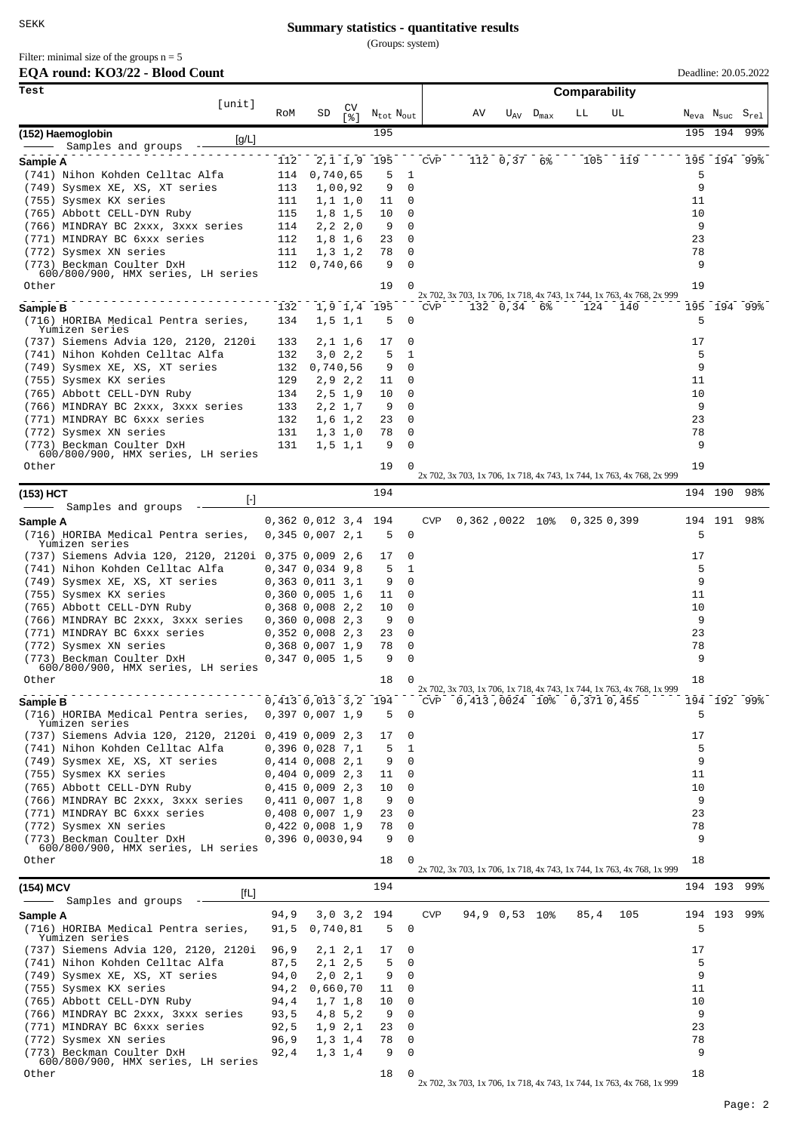(Groups: system)

Filter: minimal size of the groups  $n = 5$ 

# **EQA round: KO3/22 - Blood Count**

| EQA round: KO3/22 - Blood Count                                         |              |                                            |                           |                                   |            |    |                    |                    |                            |                                                                        |          |                                                                      | Deadline: 20.05.2022 |
|-------------------------------------------------------------------------|--------------|--------------------------------------------|---------------------------|-----------------------------------|------------|----|--------------------|--------------------|----------------------------|------------------------------------------------------------------------|----------|----------------------------------------------------------------------|----------------------|
| Test                                                                    |              |                                            |                           |                                   |            |    |                    |                    | Comparability              |                                                                        |          |                                                                      |                      |
| [unit]                                                                  | RoM          | SD                                         | CV<br>[ 옹 ]               | $N_{\text{tot}}$ $N_{\text{out}}$ |            | ΑV |                    | $U_{AV}$ $D_{max}$ | LL                         | UL                                                                     |          | $\textit{N}_{\rm eva}$ $\textit{N}_{\rm suc}$ $\textit{S}_{\rm rel}$ |                      |
| (152) Haemoglobin                                                       |              |                                            |                           | 195                               |            |    |                    |                    |                            |                                                                        |          | 195 194                                                              | 99%                  |
| [g/L]<br>Samples and groups                                             |              |                                            |                           |                                   |            |    |                    |                    |                            |                                                                        |          |                                                                      |                      |
| Sample A                                                                | 112          |                                            |                           | 2, 1 1, 9 195                     | <b>CVP</b> |    | 112 0,37 6%        |                    | 105                        | 119                                                                    |          | 195 194 99%                                                          |                      |
| (741) Nihon Kohden Celltac Alfa                                         | 114          | 0,740,65                                   |                           | 5<br>1                            |            |    |                    |                    |                            |                                                                        | 5<br>9   |                                                                      |                      |
| (749) Sysmex XE, XS, XT series<br>(755) Sysmex KX series                | 113<br>111   |                                            | 1,00,92<br>1, 1, 1, 0     | 9<br>11                           | 0<br>0     |    |                    |                    |                            |                                                                        | 11       |                                                                      |                      |
| (765) Abbott CELL-DYN Ruby                                              | 115          |                                            | 1,8 1,5                   | 10                                | 0          |    |                    |                    |                            |                                                                        | 10       |                                                                      |                      |
| (766) MINDRAY BC 2xxx, 3xxx series                                      | 114          |                                            | 2, 2, 2, 0                | 9                                 | 0          |    |                    |                    |                            |                                                                        | 9        |                                                                      |                      |
| (771) MINDRAY BC 6xxx series                                            | 112          |                                            | $1,8$ 1,6                 | 23                                | 0          |    |                    |                    |                            |                                                                        | 23       |                                                                      |                      |
| (772) Sysmex XN series<br>(773) Beckman Coulter DxH                     | 111<br>112   | 0,740,66                                   | 1, 3, 1, 2                | 78<br>9                           | 0<br>0     |    |                    |                    |                            |                                                                        | 78<br>9  |                                                                      |                      |
| 600/800/900, HMX series, LH series                                      |              |                                            |                           |                                   |            |    |                    |                    |                            |                                                                        |          |                                                                      |                      |
| Other                                                                   |              |                                            |                           | 19                                | 0          |    |                    |                    |                            | 2x 702, 3x 703, 1x 706, 1x 718, 4x 743, 1x 744, 1x 763, 4x 768, 2x 999 | 19       |                                                                      |                      |
| Sample B                                                                | 132          |                                            |                           | 1,9 1,4 195                       | <b>CVP</b> |    | $132 \t 0,34 \t 6$ |                    | 124                        | 140                                                                    |          | 195 194 99%                                                          |                      |
| (716) HORIBA Medical Pentra series,<br>Yumizen series                   | 134          |                                            | $1, 5$ $1, 1$             | 5                                 | 0          |    |                    |                    |                            |                                                                        | 5        |                                                                      |                      |
| (737) Siemens Advia 120, 2120, 2120i                                    | 133          |                                            | 2,1 1,6                   | 17                                | 0          |    |                    |                    |                            |                                                                        | 17       |                                                                      |                      |
| (741) Nihon Kohden Celltac Alfa                                         | 132          |                                            | 3,0,2,2                   | 5<br>1                            |            |    |                    |                    |                            |                                                                        | 5        |                                                                      |                      |
| (749) Sysmex XE, XS, XT series                                          | 132          | 0,740,56                                   |                           | 9                                 | 0          |    |                    |                    |                            |                                                                        | 9        |                                                                      |                      |
| (755) Sysmex KX series<br>(765) Abbott CELL-DYN Ruby                    | 129<br>134   |                                            | 2, 9, 2, 2<br>$2,5 \t1,9$ | 11<br>10                          | 0<br>0     |    |                    |                    |                            |                                                                        | 11<br>10 |                                                                      |                      |
| (766) MINDRAY BC 2xxx, 3xxx series                                      | 133          |                                            | 2, 2, 1, 7                | 9                                 | 0          |    |                    |                    |                            |                                                                        | 9        |                                                                      |                      |
| (771) MINDRAY BC 6xxx series                                            | 132          |                                            | $1,6$ 1,2                 | 23                                | 0          |    |                    |                    |                            |                                                                        | 23       |                                                                      |                      |
| (772) Sysmex XN series                                                  | 131          |                                            | $1,3$ 1,0                 | 78                                | 0          |    |                    |                    |                            |                                                                        | 78       |                                                                      |                      |
| (773) Beckman Coulter DxH<br>600/800/900, HMX series, LH series         | 131          |                                            | $1, 5$ $1, 1$             | 9                                 | 0          |    |                    |                    |                            |                                                                        | 9        |                                                                      |                      |
| Other                                                                   |              |                                            |                           | 19                                | 0          |    |                    |                    |                            | 2x 702, 3x 703, 1x 706, 1x 718, 4x 743, 1x 744, 1x 763, 4x 768, 2x 999 | 19       |                                                                      |                      |
|                                                                         |              |                                            |                           | 194                               |            |    |                    |                    |                            |                                                                        |          | 194 190                                                              | 98%                  |
| (153) HCT<br>H<br>Samples and groups                                    |              |                                            |                           |                                   |            |    |                    |                    |                            |                                                                        |          |                                                                      |                      |
| Sample A                                                                |              | $0,362$ $0,012$ $3,4$                      |                           | 194                               | <b>CVP</b> |    | 0,362,0022 10%     |                    | 0,3250,399                 |                                                                        |          | 194 191                                                              | 98%                  |
| (716) HORIBA Medical Pentra series,                                     |              | $0,345$ $0,007$ $2,1$                      |                           | 5                                 | 0          |    |                    |                    |                            |                                                                        | 5        |                                                                      |                      |
| Yumizen series<br>(737) Siemens Advia 120, 2120, 2120i 0,375 0,009 2,6  |              |                                            |                           | 17                                | 0          |    |                    |                    |                            |                                                                        | 17       |                                                                      |                      |
| (741) Nihon Kohden Celltac Alfa                                         |              | 0,347 0,034 9,8                            |                           | 5                                 | 1          |    |                    |                    |                            |                                                                        | 5        |                                                                      |                      |
| (749) Sysmex XE, XS, XT series                                          |              | 0,363 0,011 3,1                            |                           | 9                                 | 0          |    |                    |                    |                            |                                                                        | 9        |                                                                      |                      |
| (755) Sysmex KX series                                                  |              | 0,360 0,005 1,6                            |                           | 11                                | 0          |    |                    |                    |                            |                                                                        | 11       |                                                                      |                      |
| (765) Abbott CELL-DYN Ruby<br>(766) MINDRAY BC 2xxx, 3xxx series        |              | $0,368$ $0,008$ 2,2<br>$0,360$ $0,008$ 2,3 |                           | 10<br>9                           | 0<br>0     |    |                    |                    |                            |                                                                        | 10<br>9  |                                                                      |                      |
| (771) MINDRAY BC 6xxx series                                            |              | 0,352,0,008,2,3                            |                           | 23                                | 0          |    |                    |                    |                            |                                                                        | 23       |                                                                      |                      |
| (772) Sysmex XN series                                                  |              | 0,368 0,007 1,9                            |                           | 78                                | 0          |    |                    |                    |                            |                                                                        | 78       |                                                                      |                      |
| (773) Beckman Coulter DxH<br>600/800/900, HMX series, LH series         |              | $0,347$ 0,005 1,5                          |                           | 9                                 | 0          |    |                    |                    |                            |                                                                        | 9        |                                                                      |                      |
| Other                                                                   |              |                                            |                           | 18<br>0                           |            |    |                    |                    |                            |                                                                        | 18       |                                                                      |                      |
| Sample B                                                                |              | 0,413 0,013 3,2 194                        |                           |                                   | CVP        |    |                    |                    | 0,413,0024 10% 0,371 0,455 | 2x 702, 3x 703, 1x 706, 1x 718, 4x 743, 1x 744, 1x 763, 4x 768, 1x 999 |          | 194 192 99%                                                          |                      |
| (716) HORIBA Medical Pentra series,                                     |              | 0,397,0,007,1,9                            |                           | 5                                 | 0          |    |                    |                    |                            |                                                                        | 5        |                                                                      |                      |
| Yumizen series<br>(737) Siemens Advia 120, 2120, 2120i 0,419 0,009 2,3  |              |                                            |                           | 17                                | 0          |    |                    |                    |                            |                                                                        | 17       |                                                                      |                      |
| (741) Nihon Kohden Celltac Alfa                                         |              | $0,396$ $0,028$ $7,1$                      |                           | 5<br>1                            |            |    |                    |                    |                            |                                                                        | 5        |                                                                      |                      |
| (749) Sysmex XE, XS, XT series                                          |              | 0,414 0,008 2,1                            |                           | 9                                 | 0          |    |                    |                    |                            |                                                                        | 9        |                                                                      |                      |
| (755) Sysmex KX series                                                  |              | 0,404,0,009,2,3                            |                           | 11                                | 0          |    |                    |                    |                            |                                                                        | 11       |                                                                      |                      |
| (765) Abbott CELL-DYN Ruby<br>(766) MINDRAY BC 2xxx, 3xxx series        |              | 0,415 0,009 2,3                            |                           | 10                                | 0<br>0     |    |                    |                    |                            |                                                                        | 10<br>9  |                                                                      |                      |
| (771) MINDRAY BC 6xxx series                                            |              | 0,411 0,007 1,8<br>0,408 0,007 1,9         |                           | 9<br>23                           | 0          |    |                    |                    |                            |                                                                        | 23       |                                                                      |                      |
| (772) Sysmex XN series                                                  |              | 0,422 0,008 1,9                            |                           | 78                                | 0          |    |                    |                    |                            |                                                                        | 78       |                                                                      |                      |
| (773) Beckman Coulter DxH                                               |              | 0,396 0,0030,94                            |                           | 9                                 | 0          |    |                    |                    |                            |                                                                        | 9        |                                                                      |                      |
| 600/800/900, HMX series, LH series<br>Other                             |              |                                            |                           | 18                                | 0          |    |                    |                    |                            |                                                                        | 18       |                                                                      |                      |
|                                                                         |              |                                            |                           |                                   |            |    |                    |                    |                            | 2x 702, 3x 703, 1x 706, 1x 718, 4x 743, 1x 744, 1x 763, 4x 768, 1x 999 |          |                                                                      |                      |
| (154) MCV<br>[fL]                                                       |              |                                            |                           | 194                               |            |    |                    |                    |                            |                                                                        |          | 194 193                                                              | 99%                  |
| Samples and groups                                                      | 94,9         |                                            |                           | $3,0$ $3,2$ 194                   | <b>CVP</b> |    | 94,9 0,53 10%      |                    | 85,4                       | 105                                                                    |          | 194 193                                                              | 99%                  |
| Sample A<br>(716) HORIBA Medical Pentra series,                         | 91,5         | 0,740,81                                   |                           | 5                                 | 0          |    |                    |                    |                            |                                                                        | 5        |                                                                      |                      |
| Yumizen series                                                          |              |                                            |                           |                                   |            |    |                    |                    |                            |                                                                        |          |                                                                      |                      |
| (737) Siemens Advia 120, 2120, 2120i<br>(741) Nihon Kohden Celltac Alfa | 96,9<br>87,5 |                                            | 2,1 2,1<br>2,1 2,5        | 17<br>5                           | 0<br>0     |    |                    |                    |                            |                                                                        | 17<br>5  |                                                                      |                      |
| (749) Sysmex XE, XS, XT series                                          | 94,0         |                                            | 2,0 2,1                   | 9                                 | 0          |    |                    |                    |                            |                                                                        | 9        |                                                                      |                      |
| (755) Sysmex KX series                                                  | 94,2         | 0,660,70                                   |                           | 11                                | 0          |    |                    |                    |                            |                                                                        | 11       |                                                                      |                      |
| (765) Abbott CELL-DYN Ruby                                              | 94,4         |                                            | 1,7 1,8                   | 10                                | 0          |    |                    |                    |                            |                                                                        | 10       |                                                                      |                      |
| (766) MINDRAY BC 2xxx, 3xxx series                                      | 93,5         |                                            | 4,8 5,2                   | 9                                 | 0          |    |                    |                    |                            |                                                                        | 9        |                                                                      |                      |
| (771) MINDRAY BC 6xxx series<br>(772) Sysmex XN series                  | 92,5<br>96,9 |                                            | 1,9 2,1<br>1, 3, 1, 4     | 23<br>78                          | 0<br>0     |    |                    |                    |                            |                                                                        | 23<br>78 |                                                                      |                      |
| (773) Beckman Coulter DxH                                               | 92,4         |                                            | 1, 3, 1, 4                | 9                                 | 0          |    |                    |                    |                            |                                                                        | 9        |                                                                      |                      |
| 600/800/900, HMX series, LH series                                      |              |                                            |                           | 18                                | O          |    |                    |                    |                            |                                                                        | 18       |                                                                      |                      |
| Other                                                                   |              |                                            |                           |                                   |            |    |                    |                    |                            | 2x 702, 3x 703, 1x 706, 1x 718, 4x 743, 1x 744, 1x 763, 4x 768, 1x 999 |          |                                                                      |                      |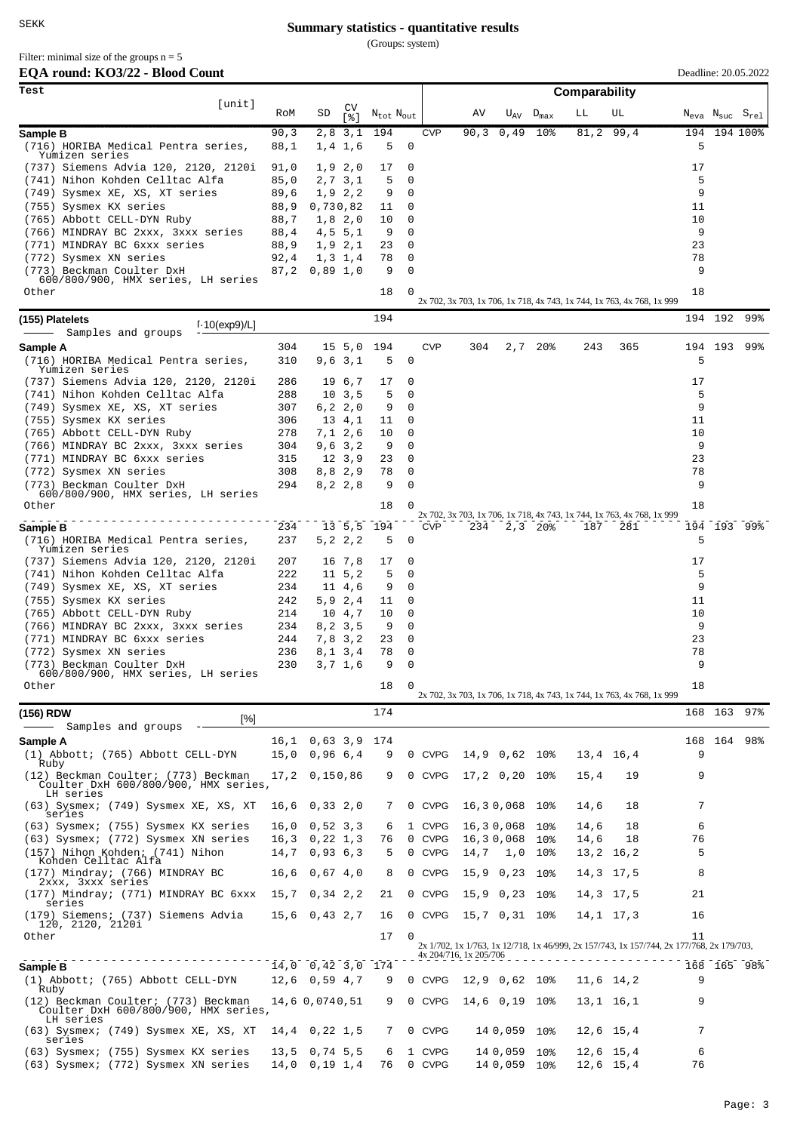(Groups: system)

Filter: minimal size of the groups  $n = 5$ 

| EQA round: KO3/22 - Blood Count |  |  |  |
|---------------------------------|--|--|--|
|---------------------------------|--|--|--|

| EQA round: KO3/22 - Blood Count                                             |              |                                    |                    |                                   |          |                  |                        |                              |                            |               |                                                                                           |         |                                                    | Deadline: 20.05.2022 |
|-----------------------------------------------------------------------------|--------------|------------------------------------|--------------------|-----------------------------------|----------|------------------|------------------------|------------------------------|----------------------------|---------------|-------------------------------------------------------------------------------------------|---------|----------------------------------------------------|----------------------|
| Test<br>[unit]                                                              |              |                                    |                    |                                   |          |                  |                        |                              |                            | Comparability |                                                                                           |         |                                                    |                      |
|                                                                             | RoM          | SD                                 | CV<br>[ 응 ]        | $N_{\text{tot}}$ $N_{\text{out}}$ |          |                  | ΑV                     |                              | $U_{\rm AV}$ $D_{\rm max}$ | LЬ            | UL                                                                                        |         | $N_{\text{eva}}$ $N_{\text{suc}}$ $S_{\text{rel}}$ |                      |
| Sample B                                                                    | 90,3         |                                    | 2,8 3,1            | 194                               |          | <b>CVP</b>       | 90, 3                  | 0,49                         | 10 <sub>8</sub>            |               | $81, 2$ 99,4                                                                              |         |                                                    | 194 194 100%         |
| (716) HORIBA Medical Pentra series,<br>Yumizen series                       | 88,1         |                                    | 1, 4, 1, 6         | 5                                 | 0        |                  |                        |                              |                            |               |                                                                                           | 5       |                                                    |                      |
| (737) Siemens Advia 120, 2120, 2120i<br>(741) Nihon Kohden Celltac Alfa     | 91,0<br>85,0 |                                    | 1,9,2,0<br>2,7 3,1 | 17<br>5                           | 0<br>0   |                  |                        |                              |                            |               |                                                                                           | 17<br>5 |                                                    |                      |
| (749) Sysmex XE, XS, XT series                                              | 89,6         |                                    | 1,9 2,2            | 9                                 | 0        |                  |                        |                              |                            |               |                                                                                           | 9       |                                                    |                      |
| (755) Sysmex KX series                                                      | 88,9         | 0,730,82                           |                    | 11                                | 0        |                  |                        |                              |                            |               |                                                                                           | 11      |                                                    |                      |
| (765) Abbott CELL-DYN Ruby                                                  | 88,7         |                                    | $1,8$ 2,0          | 10                                | 0        |                  |                        |                              |                            |               |                                                                                           | 10      |                                                    |                      |
| (766) MINDRAY BC 2xxx, 3xxx series                                          | 88,4         |                                    | 4, 5, 5, 1         | 9                                 | 0        |                  |                        |                              |                            |               |                                                                                           | 9       |                                                    |                      |
| (771) MINDRAY BC 6xxx series                                                | 88,9         |                                    | 1,9 2,1            | 23                                | 0        |                  |                        |                              |                            |               |                                                                                           | 23      |                                                    |                      |
| (772) Sysmex XN series<br>(773) Beckman Coulter DxH                         | 92,4<br>87,2 | $0,89$ 1,0                         | 1,3 1,4            | 78<br>9                           | 0<br>0   |                  |                        |                              |                            |               |                                                                                           | 78<br>9 |                                                    |                      |
| 600/800/900, HMX series, LH series                                          |              |                                    |                    |                                   |          |                  |                        |                              |                            |               |                                                                                           |         |                                                    |                      |
| Other                                                                       |              |                                    |                    | 18                                | 0        |                  |                        |                              |                            |               | 2x 702, 3x 703, 1x 706, 1x 718, 4x 743, 1x 744, 1x 763, 4x 768, 1x 999                    | 18      |                                                    |                      |
| (155) Platelets<br>$1.10$ (exp9)/L]                                         |              |                                    |                    | 194                               |          |                  |                        |                              |                            |               |                                                                                           |         | 194 192                                            | 99%                  |
| Samples and groups<br>Sample A                                              | 304          |                                    | 15, 5, 0           | 194                               |          | <b>CVP</b>       | 304                    |                              | 2,720                      | 243           | 365                                                                                       |         | 194 193                                            | 99%                  |
| (716) HORIBA Medical Pentra series,                                         | 310          |                                    | 9,6,3,1            | 5                                 | 0        |                  |                        |                              |                            |               |                                                                                           | 5       |                                                    |                      |
| Yumizen series                                                              |              |                                    |                    |                                   |          |                  |                        |                              |                            |               |                                                                                           |         |                                                    |                      |
| (737) Siemens Advia 120, 2120, 2120i                                        | 286          |                                    | 19 6,7             | 17                                | 0<br>0   |                  |                        |                              |                            |               |                                                                                           | 17<br>5 |                                                    |                      |
| (741) Nihon Kohden Celltac Alfa<br>(749) Sysmex XE, XS, XT series           | 288<br>307   |                                    | 10, 3, 5<br>6,22,0 | 5<br>9                            | 0        |                  |                        |                              |                            |               |                                                                                           | 9       |                                                    |                      |
| (755) Sysmex KX series                                                      | 306          |                                    | 13 4,1             | 11                                | 0        |                  |                        |                              |                            |               |                                                                                           | 11      |                                                    |                      |
| (765) Abbott CELL-DYN Ruby                                                  | 278          |                                    | 7,1 2,6            | 10                                | 0        |                  |                        |                              |                            |               |                                                                                           | 10      |                                                    |                      |
| (766) MINDRAY BC 2xxx, 3xxx series                                          | 304          |                                    | 9,6,3,2            | 9                                 | 0        |                  |                        |                              |                            |               |                                                                                           | 9       |                                                    |                      |
| (771) MINDRAY BC 6xxx series                                                | 315          |                                    | 12, 3, 9           | 23                                | 0        |                  |                        |                              |                            |               |                                                                                           | 23      |                                                    |                      |
| (772) Sysmex XN series                                                      | 308          |                                    | 8,8,2,9            | 78                                | 0        |                  |                        |                              |                            |               |                                                                                           | 78      |                                                    |                      |
| (773) Beckman Coulter DxH<br>600/800/900, HMX series, LH series             | 294          |                                    | 8, 2, 2, 8         | 9                                 | 0        |                  |                        |                              |                            |               |                                                                                           | 9       |                                                    |                      |
| Other                                                                       |              |                                    |                    | 18                                | 0        |                  |                        |                              |                            |               |                                                                                           | 18      |                                                    |                      |
|                                                                             | 234          |                                    | 13, 5, 5           | 194                               |          | <b>CVP</b>       | 234                    |                              | $2,3$ 20%                  | 187           | 2x 702, 3x 703, 1x 706, 1x 718, 4x 743, 1x 744, 1x 763, 4x 768, 1x 999<br>281             |         |                                                    | 194 193 99%          |
| Sample B<br>(716) HORIBA Medical Pentra series,                             | 237          |                                    | 5,2 2,2            | 5                                 | 0        |                  |                        |                              |                            |               |                                                                                           | 5       |                                                    |                      |
| Yumizen series                                                              |              |                                    |                    |                                   |          |                  |                        |                              |                            |               |                                                                                           |         |                                                    |                      |
| (737) Siemens Advia 120, 2120, 2120i                                        | 207          |                                    | 16 7,8             | 17                                | 0        |                  |                        |                              |                            |               |                                                                                           | 17      |                                                    |                      |
| (741) Nihon Kohden Celltac Alfa                                             | 222          |                                    | 11, 5, 2           | 5                                 | 0        |                  |                        |                              |                            |               |                                                                                           | 5       |                                                    |                      |
| (749) Sysmex XE, XS, XT series<br>(755) Sysmex KX series                    | 234<br>242   |                                    | 11 4,6<br>5,9 2,4  | 9<br>11                           | 0<br>0   |                  |                        |                              |                            |               |                                                                                           | 9<br>11 |                                                    |                      |
| (765) Abbott CELL-DYN Ruby                                                  | 214          |                                    | 10 4,7             | 10                                | 0        |                  |                        |                              |                            |               |                                                                                           | 10      |                                                    |                      |
| (766) MINDRAY BC 2xxx, 3xxx series                                          | 234          |                                    | 8,2 3,5            | 9                                 | 0        |                  |                        |                              |                            |               |                                                                                           | 9       |                                                    |                      |
| (771) MINDRAY BC 6xxx series                                                | 244          |                                    | 7,83,2             | 23                                | 0        |                  |                        |                              |                            |               |                                                                                           | 23      |                                                    |                      |
| (772) Sysmex XN series                                                      | 236          |                                    | 8, 1, 3, 4         | 78                                | 0        |                  |                        |                              |                            |               |                                                                                           | 78      |                                                    |                      |
| (773) Beckman Coulter DxH                                                   | 230          |                                    | 3,7 1,6            | 9                                 | $\Omega$ |                  |                        |                              |                            |               |                                                                                           | 9       |                                                    |                      |
| 600/800/900, HMX series, LH series<br>Other                                 |              |                                    |                    | 18                                |          |                  |                        |                              |                            |               |                                                                                           | 18      |                                                    |                      |
|                                                                             |              |                                    |                    |                                   |          |                  |                        |                              |                            |               | 2x 702, 3x 703, 1x 706, 1x 718, 4x 743, 1x 744, 1x 763, 4x 768, 1x 999                    |         |                                                    |                      |
| (156) RDW<br>$\lceil\% \rceil$                                              |              |                                    |                    | 174                               |          |                  |                        |                              |                            |               |                                                                                           |         | 168 163                                            | 97%                  |
| Samples and groups                                                          |              |                                    |                    |                                   |          |                  |                        |                              |                            |               |                                                                                           |         |                                                    |                      |
| Sample A                                                                    |              | 16,1 0,63 3,9 174                  |                    | 9                                 |          | 0 CVPG           |                        | 14,9 0,62 10%                |                            |               | 13,4 16,4                                                                                 | 9       |                                                    | 168 164 98%          |
| (1) Abbott; (765) Abbott CELL-DYN<br>Ruby                                   |              | $15,0$ 0,96 6,4                    |                    |                                   |          |                  |                        |                              |                            |               |                                                                                           |         |                                                    |                      |
| (12) Beckman Coulter; (773) Beckman<br>Coulter DxH 600/800/900, HMX series, |              | 17,2 0,150,86                      |                    | 9                                 |          | 0 CVPG           |                        | $17,2$ 0,20 10%              |                            | 15,4          | 19                                                                                        | 9       |                                                    |                      |
| LH series<br>(63) Sysmex; (749) Sysmex XE, XS, XT<br>series                 |              | $16,6$ 0,33 2,0                    |                    | 7                                 |          | 0 CVPG           |                        | 16, 30, 068 10%              |                            | 14,6          | 18                                                                                        | 7       |                                                    |                      |
| (63) Sysmex; (755) Sysmex KX series                                         |              | $16,0$ 0,52 3,3                    |                    | 6                                 |          | 1 CVPG           |                        | 16,30,068 10%                |                            | 14,6          | 18                                                                                        | 6       |                                                    |                      |
| (63) Sysmex; (772) Sysmex XN series                                         |              | $16,3$ 0, 22 1, 3                  |                    | 76                                |          | 0 CVPG           |                        | 16,30,068                    | 10%                        | 14,6          | 18                                                                                        | 76      |                                                    |                      |
| (157) Nihon Kohden; (741) Nihon                                             |              | $14,7$ 0,93 6,3                    |                    | 5                                 |          | 0 CVPG           |                        | $14,7$ 1,0                   | $10\%$                     |               | 13,2 16,2                                                                                 | 5       |                                                    |                      |
| Kohden Celltac Alfa<br>(177) Mindray; (766) MINDRAY BC                      |              | $16,6$ 0,67 4,0                    |                    | 8                                 |          | 0 CVPG           |                        | 15,9 0,23 10%                |                            |               | 14,3 17,5                                                                                 | 8       |                                                    |                      |
| 2xxx, 3xxx series<br>(177) Mindray; (771) MINDRAY BC 6xxx                   |              | 15,7 0,34 2,2                      |                    | 21                                |          | 0 CVPG           |                        | 15,9 0,23 10%                |                            |               | 14,3 17,5                                                                                 | 21      |                                                    |                      |
| series                                                                      |              |                                    |                    |                                   |          |                  |                        |                              |                            |               |                                                                                           |         |                                                    |                      |
| (179) Siemens; (737) Siemens Advia<br>120, 2120, 2120i                      |              | $15,6$ 0,43 2,7                    |                    | 16                                |          | 0 CVPG           | 15,7 0,31 10%          |                              |                            |               | 14, 1 17, 3                                                                               | 16      |                                                    |                      |
| Other                                                                       |              |                                    |                    | 17                                | $\Omega$ |                  |                        |                              |                            |               | 2x 1/702, 1x 1/763, 1x 12/718, 1x 46/999, 2x 157/743, 1x 157/744, 2x 177/768, 2x 179/703, | 11      |                                                    |                      |
|                                                                             |              |                                    |                    |                                   |          |                  | 4x 204/716, 1x 205/706 |                              |                            |               |                                                                                           |         |                                                    |                      |
| Sample B<br>(1) Abbott; (765) Abbott CELL-DYN                               |              | $14,0$ 0,42 3,0<br>$12,6$ 0,59 4,7 |                    | 174<br>9                          |          | 0 CVPG           |                        | 12,9 0,62 10%                |                            |               | 11,6 14,2                                                                                 | 9       |                                                    | 168 165 98%          |
| Ruby<br>(12) Beckman Coulter; (773) Beckman                                 |              | 14,6 0,0740,51                     |                    | 9                                 |          | 0 CVPG           |                        | 14,6 0,19 10%                |                            |               | 13,1 16,1                                                                                 | 9       |                                                    |                      |
| Coulter DxH 600/800/900, HMX series,<br>LH series                           |              |                                    |                    |                                   |          |                  |                        |                              |                            |               |                                                                                           |         |                                                    |                      |
| (63) Sysmex; (749) Sysmex XE, XS, XT<br>series                              |              | 14,4 0,22 1,5                      |                    | 7                                 |          | 0 CVPG           |                        | 14 0,059 10%                 |                            |               | 12,6 15,4                                                                                 | 7       |                                                    |                      |
| (63) Sysmex; (755) Sysmex KX series<br>(63) Sysmex; (772) Sysmex XN series  |              | $13,5$ 0,74 5,5<br>$14,0$ 0,19 1,4 |                    | 6<br>76                           |          | 1 CVPG<br>0 CVPG |                        | 14 0,059 10%<br>14 0,059 10% |                            |               | 12,6 15,4<br>$12,6$ 15,4                                                                  | 6<br>76 |                                                    |                      |
|                                                                             |              |                                    |                    |                                   |          |                  |                        |                              |                            |               |                                                                                           |         |                                                    |                      |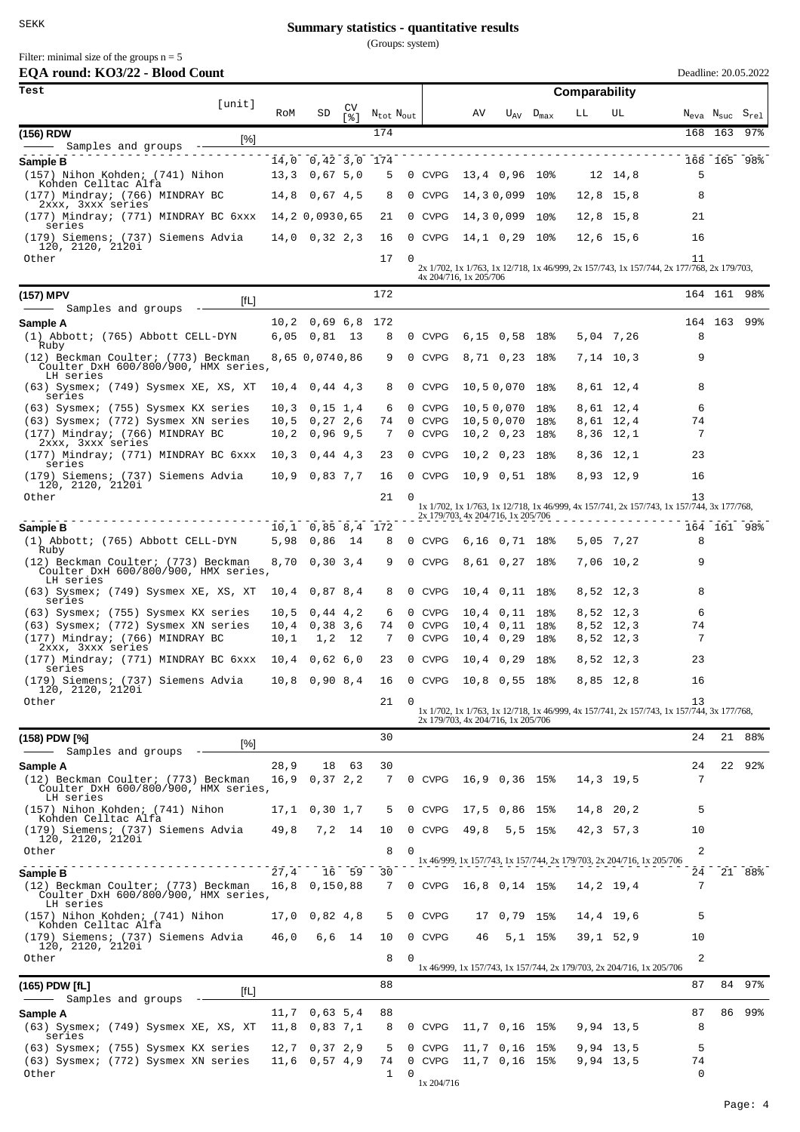(Groups: system)

Filter: minimal size of the groups  $n = 5$ 

| EQA round: KO3/22 - Blood Count                        |     |                   |            |                     |           |        |               |                    |               |             | Deadline: 20.05.2022 |                                                    |     |
|--------------------------------------------------------|-----|-------------------|------------|---------------------|-----------|--------|---------------|--------------------|---------------|-------------|----------------------|----------------------------------------------------|-----|
| Test                                                   |     |                   |            |                     |           |        |               |                    | Comparability |             |                      |                                                    |     |
| [unit]                                                 | RoM | SD                | CV<br>5.81 | $N_{tot}$ $N_{out}$ |           |        | AV            | $U_{AV}$ $D_{max}$ | LL            | UL          |                      | $N_{\text{eva}}$ $N_{\text{suc}}$ $S_{\text{rel}}$ |     |
| (156) RDW<br>[%]<br>Samples and groups                 |     |                   |            | 174                 |           |        |               |                    |               |             |                      | 168 163 97%                                        |     |
| Sample B                                               |     | 14,0 0,42 3,0 174 |            |                     |           |        |               |                    |               |             |                      | 168 165                                            | 98% |
| (157) Nihon Kohden; (741) Nihon<br>Kohden Celltac Alfa |     | $13,3$ 0,67 5,0   |            | 5                   |           | 0 CVPG | 13,4 0,96 10% |                    |               | 12 14.8     | 5                    |                                                    |     |
| (177) Mindray; (766) MINDRAY BC<br>2xxx, 3xxx series   |     | $14.8$ 0.67 4.5   |            |                     | 8 0 CVPG  |        | 14,30,099 10% |                    |               | $12,8$ 15,8 | 8                    |                                                    |     |
| (177) Mindray; (771) MINDRAY BC 6xxx<br>series         |     | 14,2 0,0930,65    |            |                     | 21 0 CVPG |        | 14,30,099 10% |                    |               | $12,8$ 15,8 | 21                   |                                                    |     |
| (179) Siemens; (737) Siemens Advia<br>120, 2120, 2120i |     | $14,0$ 0,32 2,3   |            |                     | 16 0 CVPG |        | 14,1 0,29 10% |                    | 12,6 15,6     |             | 16                   |                                                    |     |
| $0+$ hor                                               |     |                   |            | $17 \alpha$         |           |        |               |                    |               |             | 11                   |                                                    |     |

| Other                                                                                    |      |                      | 17            | $\Omega$ |        | 4x 204/716, 1x 205/706             |                      |           |           | 11<br>2x 1/702, 1x 1/763, 1x 12/718, 1x 46/999, 2x 157/743, 1x 157/744, 2x 177/768, 2x 179/703, |             |  |
|------------------------------------------------------------------------------------------|------|----------------------|---------------|----------|--------|------------------------------------|----------------------|-----------|-----------|-------------------------------------------------------------------------------------------------|-------------|--|
| (157) MPV<br>[fL]                                                                        |      |                      | 172           |          |        |                                    |                      |           |           |                                                                                                 | 164 161 98% |  |
| Samples and groups                                                                       |      |                      |               |          |        |                                    |                      |           |           |                                                                                                 |             |  |
| Sample A                                                                                 |      | $10, 2$ 0,69 6,8 172 |               |          |        |                                    |                      |           |           |                                                                                                 | 164 163 99% |  |
| (1) Abbott; (765) Abbott CELL-DYN<br>Ruby                                                |      | $6,05$ $0,81$ 13     | 8             |          | 0 CVPG |                                    | $6,15$ 0,58 18%      |           | 5,04 7,26 | 8                                                                                               |             |  |
| (12) Beckman Coulter; (773) Beckman<br>Coulter DxH 600/800/900, HMX series,<br>LH series |      | 8,65 0,0740,86       | 9             |          | 0 CVPG |                                    | 8,71 0,23 18%        | 7,14 10,3 |           | 9                                                                                               |             |  |
| (63) Sysmex; (749) Sysmex XE, XS, XT<br>series                                           |      | $10, 4$ 0, 44 4, 3   | 8             |          | 0 CVPG |                                    | 10,50,070 18%        | 8,61 12,4 |           | 8                                                                                               |             |  |
| (63) Sysmex; (755) Sysmex KX series                                                      |      | $10,3$ 0, 15 1, 4    | 6             |          | 0 CVPG | 10,50,070 18%                      |                      |           | 8,61 12,4 | 6                                                                                               |             |  |
| (63) Sysmex; (772) Sysmex XN series                                                      |      | $10,5$ 0, 27 2, 6    | 74            |          | 0 CVPG | 10,50,070 18%                      |                      | 8,61 12,4 |           | 74                                                                                              |             |  |
| (177) Mindray; (766) MINDRAY BC<br>2xxx, 3xxx series                                     |      | $10, 2$ 0,96 9,5     | 7             |          | 0 CVPG | 10,2 0,23 18%                      |                      | 8,36 12,1 |           | 7                                                                                               |             |  |
| (177) Mindray; (771) MINDRAY BC 6xxx<br>series                                           |      | $10,3$ 0,44 4,3      | 23            |          | 0 CVPG |                                    | $10, 2$ 0, 23 18%    | 8,36 12,1 |           | 23                                                                                              |             |  |
| (179) Siemens; (737) Siemens Advia<br>120, 2120, 2120i                                   |      | $10,9$ 0,83 7,7      | 16            |          | 0 CVPG |                                    | 10,9 0,51 18%        | 8,93 12,9 |           | 16                                                                                              |             |  |
| Other                                                                                    |      |                      | 21            | $\Omega$ |        | 2x 179/703, 4x 204/716, 1x 205/706 |                      |           |           | 13<br>1x 1/702, 1x 1/763, 1x 12/718, 1x 46/999, 4x 157/741, 2x 157/743, 1x 157/744, 3x 177/768, |             |  |
| Sample B                                                                                 |      | $10,1$ 0,85 8,4 172  |               |          |        |                                    |                      |           |           |                                                                                                 | 164 161 98% |  |
| (1) Abbott; (765) Abbott CELL-DYN<br>Ruby                                                |      | 5,98 0,86 14         | 8             |          | 0 CVPG |                                    | $6,16$ $0,71$ $18\%$ | 5,05 7,27 |           | 8                                                                                               |             |  |
| (12) Beckman Coulter; (773) Beckman<br>Coulter DxH 600/800/900, HMX series,<br>LH series |      | $8,70$ 0,30 3,4      | 9             |          | 0 CVPG | 8,61 0,27 18%                      |                      | 7,06 10,2 |           | 9                                                                                               |             |  |
| (63) Sysmex; (749) Sysmex XE, XS, XT<br>series                                           |      | $10,4$ 0,87 8,4      | 8             |          | 0 CVPG | $10,4$ 0, 11 18%                   |                      | 8,52 12,3 |           | 8                                                                                               |             |  |
| (63) Sysmex; (755) Sysmex KX series                                                      |      | $10,5$ 0,44 4,2      | 6             |          | 0 CVPG | 10,4 0,11 18%                      |                      | 8,52 12,3 |           | 6                                                                                               |             |  |
| (63) Sysmex; (772) Sysmex XN series                                                      |      | $10,4$ 0,38 3,6      | 74            |          | 0 CVPG | 10,4 0,11 18%                      |                      | 8,52 12,3 |           | 74                                                                                              |             |  |
| (177) Mindray; (766) MINDRAY BC<br>2xxx, 3xxx series                                     | 10,1 | 1,2 12               | 7             |          | 0 CVPG | 10,4 0,29 18%                      |                      | 8,52 12,3 |           | 7                                                                                               |             |  |
| (177) Mindray; (771) MINDRAY BC 6xxx<br>series                                           |      | $10,4$ 0,62 6,0      | 23            |          | 0 CVPG |                                    | $10, 4$ 0,29 18%     | 8,52 12,3 |           | 23                                                                                              |             |  |
| (179) Siemens; (737) Siemens Advia<br>120, 2120, 2120i                                   |      | $10,8$ 0,90 8,4      | 16            |          | 0 CVPG |                                    | 10,8 0,55 18%        | 8,85 12,8 |           | 16                                                                                              |             |  |
| Other                                                                                    |      |                      | 21            | $\Omega$ |        | 2x 179/703, 4x 204/716, 1x 205/706 |                      |           |           | 13<br>1x 1/702, 1x 1/763, 1x 12/718, 1x 46/999, 4x 157/741, 2x 157/743, 1x 157/744, 3x 177/768, |             |  |
|                                                                                          |      |                      | $\sim$ $\sim$ |          |        |                                    |                      |           |           |                                                                                                 |             |  |

| (158) PDW [%]<br>Samples and groups                                                      | [%]  |      |                 |       | 30 |          |            |               |                 |            |             |                                                                       | 24             |    | 21 88% |
|------------------------------------------------------------------------------------------|------|------|-----------------|-------|----|----------|------------|---------------|-----------------|------------|-------------|-----------------------------------------------------------------------|----------------|----|--------|
| Sample A                                                                                 |      | 28,9 | 18              | 63    | 30 |          |            |               |                 |            |             |                                                                       | 24             | 22 | 92%    |
| (12) Beckman Coulter; (773) Beckman<br>Coulter DxH 600/800/900, HMX series,<br>LH series |      | 16.9 | 0.372.2         |       | 7  |          | 0 CVPG     | 16,9 0,36 15% |                 |            | $14.3$ 19.5 |                                                                       | 7              |    |        |
| (157) Nihon Kohden; (741) Nihon<br>Kohden Celltac Alfa                                   |      | 17.1 | $0,30$ 1,7      |       | 5  |          | 0 CVPG     |               | 17,5 0,86 15%   |            | 14,8 20,2   |                                                                       | 5              |    |        |
| (179) Siemens; (737) Siemens Advia<br>120, 2120, 2120i                                   |      | 49,8 | 7,2 14          |       | 10 |          | 0 CVPG     | 49,8          |                 | $5, 5$ 15% | $42.3$ 57.3 |                                                                       | 10             |    |        |
| Other                                                                                    |      |      |                 |       | 8  | $\Omega$ |            |               |                 |            |             | 1x 46/999, 1x 157/743, 1x 157/744, 2x 179/703, 2x 204/716, 1x 205/706 | $\overline{a}$ |    |        |
| Sample B                                                                                 |      | 27,4 |                 | 16 59 | 30 |          |            |               |                 |            |             |                                                                       | 24             |    | 21 88% |
| (12) Beckman Coulter; (773) Beckman<br>Coulter DxH 600/800/900, HMX series,<br>LH series |      |      | 16,8 0,150,88   |       | 7  |          | 0 CVPG     | 16,8 0,14 15% |                 |            | 14,2 19,4   |                                                                       | 7              |    |        |
| (157) Nihon Kohden; (741) Nihon<br>Kohden Celltac Alfa                                   |      | 17.0 | 0,82,4,8        |       | 5  |          | 0 CVPG     |               | 17 0,79 15%     |            | 14,4 19,6   |                                                                       | 5              |    |        |
| (179) Siemens; (737) Siemens Advia<br>120, 2120, 2120i                                   |      | 46.0 | 6.6 14          |       | 10 |          | 0 CVPG     | 46            |                 | $5,1$ 15%  | $39.1$ 52.9 |                                                                       | 10             |    |        |
| Other                                                                                    |      |      |                 |       | 8  | $\Omega$ |            |               |                 |            |             | 1x 46/999, 1x 157/743, 1x 157/744, 2x 179/703, 2x 204/716, 1x 205/706 | $\overline{a}$ |    |        |
| (165) PDW [fL]                                                                           | [fL] |      |                 |       | 88 |          |            |               |                 |            |             |                                                                       | 87             |    | 84 97% |
| - Samples and groups                                                                     |      |      |                 |       |    |          |            |               |                 |            |             |                                                                       |                |    |        |
| Sample A                                                                                 |      |      | $11,7$ 0,63 5,4 |       | 88 |          |            |               |                 |            |             |                                                                       | 87             |    | 86 99% |
| (63) Sysmex; (749) Sysmex XE, XS, XT<br>series                                           |      |      | 11,8 0,83 7,1   |       | 8  |          | 0 CVPG     |               | 11,7 0,16 15%   |            | $9.94$ 13.5 |                                                                       | 8              |    |        |
| (63) Sysmex; (755) Sysmex KX series                                                      |      |      | 12,7 0,37 2,9   |       | 5. |          | 0 CVPG     |               | $11,7$ 0,16 15% |            | 9,94 13,5   |                                                                       | 5              |    |        |
| (63) Sysmex; (772) Sysmex XN series                                                      |      |      | $11,6$ 0,57 4,9 |       | 74 |          | 0 CVPG     |               | 11,7 0,16 15%   |            | 9,94 13,5   |                                                                       | 74             |    |        |
| Other                                                                                    |      |      |                 |       |    | 0        | 1x 204/716 |               |                 |            |             |                                                                       | $\Omega$       |    |        |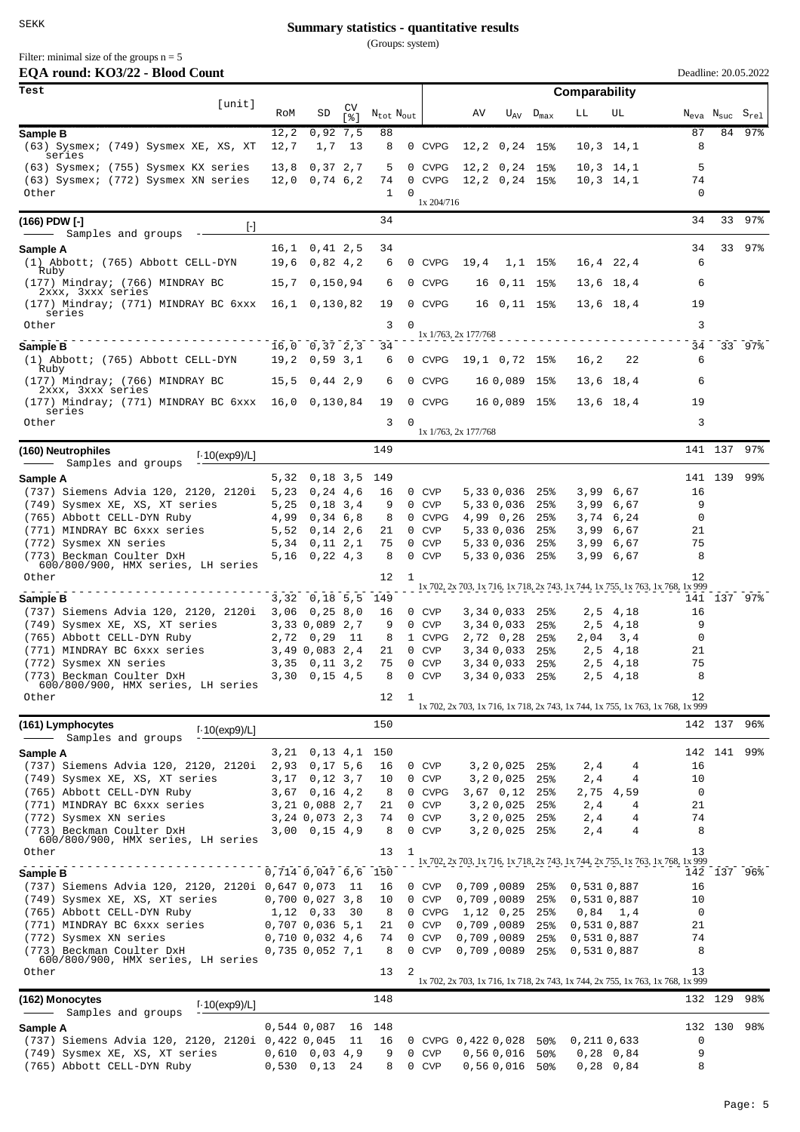(Groups: system)

| Filter: minimal size of the groups $n = 5$ |
|--------------------------------------------|
| $EOA$ round: $KOA/22$ . Blood $Co$         |

| EQA round: KO3/22 - Blood Count                                 |      |                                       |            |                                   |                        |                         |                         |                                  |               |                 | Deadline: 20.05.2022                                                                 |         |             |
|-----------------------------------------------------------------|------|---------------------------------------|------------|-----------------------------------|------------------------|-------------------------|-------------------------|----------------------------------|---------------|-----------------|--------------------------------------------------------------------------------------|---------|-------------|
| Test<br>[unit]                                                  |      |                                       |            |                                   |                        |                         |                         |                                  | Comparability |                 |                                                                                      |         |             |
|                                                                 | RoM  | SD                                    | CV<br>5.81 | $N_{\text{tot}}$ $N_{\text{out}}$ |                        | AV                      |                         | $U_{\text{AV}}$ $D_{\text{max}}$ | LL            | UL              | $N_{\text{eva}}$ $N_{\text{suc}}$ $S_{\text{rel}}$                                   |         |             |
| Sample B                                                        | 12,2 | 0,92,7,5                              |            | 88                                |                        |                         |                         |                                  |               |                 | 87                                                                                   | 84      | 97%         |
| (63) Sysmex; (749) Sysmex XE, XS, XT<br>series                  | 12,7 | 1,7                                   | 13         | 8                                 | 0 CVPG                 |                         | $12, 2$ 0, 24 15%       |                                  |               | $10, 3$ $14, 1$ | 8                                                                                    |         |             |
| (63) Sysmex; (755) Sysmex KX series                             | 13,8 | 0,37,2,7                              |            | 5                                 | 0 CVPG                 |                         | $12, 2$ 0, 24 15%       |                                  |               | $10, 3$ $14, 1$ | 5                                                                                    |         |             |
| (63) Sysmex; (772) Sysmex XN series                             | 12,0 | 0,74,6,2                              |            | 74                                | 0 CVPG                 |                         | $12, 2$ 0, 24 15%       |                                  |               | $10, 3$ $14, 1$ | 74                                                                                   |         |             |
| Other                                                           |      |                                       |            | 1                                 | 0<br>1x 204/716        |                         |                         |                                  |               |                 | 0                                                                                    |         |             |
| (166) PDW [-]<br>H                                              |      |                                       |            | 34                                |                        |                         |                         |                                  |               |                 | 34                                                                                   |         | 33 97%      |
| Samples and groups                                              |      |                                       |            |                                   |                        |                         |                         |                                  |               |                 |                                                                                      |         |             |
| Sample A<br>(1) Abbott; (765) Abbott CELL-DYN                   |      | $16, 1$ 0, 41 2, 5<br>$19,6$ 0,82 4,2 |            | 34<br>6                           | 0 CVPG                 | 19,4                    |                         | $1,1$ 15%                        |               | 16,4 22,4       | 34<br>6                                                                              |         | 33 97%      |
| Ruby                                                            |      |                                       |            |                                   |                        |                         |                         |                                  |               |                 |                                                                                      |         |             |
| (177) Mindray; (766) MINDRAY BC<br>2xxx, 3xxx series            |      | 15,7 0,150,94                         |            | 6                                 | 0 CVPG                 |                         | 16 0, 11 15%            |                                  |               | 13,6 18,4       | 6                                                                                    |         |             |
| (177) Mindray; (771) MINDRAY BC 6xxx<br>series                  |      | 16,1 0,130,82                         |            | 19                                | 0 CVPG                 |                         | 16 0, 11 15%            |                                  |               | 13,6 18,4       | 19                                                                                   |         |             |
| Other                                                           |      |                                       |            | 3                                 | 0                      |                         |                         |                                  |               |                 | 3                                                                                    |         |             |
| Sample B                                                        |      | $16,0$ 0,37 2,3                       |            | 34                                |                        | 1x 1/763, 2x 177/768    |                         |                                  |               |                 | 34                                                                                   |         | 33 97%      |
| (1) Abbott; (765) Abbott CELL-DYN                               |      | $19,2$ 0,59 3,1                       |            | 6                                 | 0 CVPG                 |                         | 19,1 0,72 15%           |                                  | 16,2          | 22              | 6                                                                                    |         |             |
| Ruby<br>(177) Mindray; (766) MINDRAY BC                         | 15,5 | 0,44 2,9                              |            | 6                                 | 0 CVPG                 |                         | 16 0,089 15%            |                                  |               | 13,6 18,4       | 6                                                                                    |         |             |
| 2xxx, 3xxx series<br>(177) Mindray; (771) MINDRAY BC 6xxx       |      | 16,0 0,130,84                         |            | 19                                | 0 CVPG                 |                         | 16 0,089 15%            |                                  |               | 13,6 18,4       | 19                                                                                   |         |             |
| series<br>Other                                                 |      |                                       |            | 3                                 | 0                      |                         |                         |                                  |               |                 | 3                                                                                    |         |             |
|                                                                 |      |                                       |            |                                   |                        | 1x 1/763, 2x 177/768    |                         |                                  |               |                 |                                                                                      |         |             |
| (160) Neutrophiles<br>$1.10$ (exp9)/L]                          |      |                                       |            | 149                               |                        |                         |                         |                                  |               |                 |                                                                                      | 141 137 | $97$ %      |
| Samples and groups<br>Sample A                                  |      | $5,32$ 0,18 3,5                       |            | 149                               |                        |                         |                         |                                  |               |                 |                                                                                      |         | 141 139 99% |
| (737) Siemens Advia 120, 2120, 2120i                            | 5,23 | 0, 24, 4, 6                           |            | 16                                | 0 CVP                  |                         | 5,330,036 25%           |                                  |               | 3,99 6,67       | 16                                                                                   |         |             |
| (749) Sysmex XE, XS, XT series                                  | 5,25 | 0, 18, 3, 4                           |            | 9                                 | 0 CVP                  |                         | 5,330,036               | 25%                              |               | 3,99 6,67       | 9                                                                                    |         |             |
| (765) Abbott CELL-DYN Ruby                                      |      | 4,99 0,34 6,8                         |            | 8                                 | 0 CVPG                 |                         | 4,99 0,26               | 25%                              |               | 3,74 6,24       | 0                                                                                    |         |             |
| (771) MINDRAY BC 6xxx series                                    |      | $5,52$ 0,14 2,6                       |            | 21                                | 0 CVP                  |                         | 5,330,036               | 25%                              | 3,99          | 6,67            | 21                                                                                   |         |             |
| (772) Sysmex XN series                                          |      | $5,34$ 0, 11 2, 1                     |            | 75                                | 0 CVP                  |                         | 5,330,036               | 25%                              | 3,99          | 6,67            | 75                                                                                   |         |             |
| (773) Beckman Coulter DxH<br>600/800/900, HMX series, LH series |      | $5,16$ 0,22 4,3                       |            | 8                                 | 0 CVP                  |                         | 5,330,036               | $25\%$                           |               | 3,99 6,67       | 8                                                                                    |         |             |
| Other                                                           |      |                                       |            | 12                                | 1                      |                         |                         |                                  |               |                 | 12<br>1x 702, 2x 703, 1x 716, 1x 718, 2x 743, 1x 744, 1x 755, 1x 763, 1x 768, 1x 999 |         |             |
| Sample B                                                        |      | 3,32 0,18 5,5 149                     |            |                                   |                        |                         |                         |                                  |               |                 |                                                                                      |         | 141 137 97% |
| (737) Siemens Advia 120, 2120, 2120i                            |      | $3,06$ 0,25 8,0                       |            | 16                                | 0 CVP                  |                         | 3,340,033               | 25%                              | 2,5           | 4,18            | 16                                                                                   |         |             |
| (749) Sysmex XE, XS, XT series                                  |      | 3,33 0,089 2,7                        |            | 9                                 | 0 CVP                  |                         | 3,340,033               | 25%                              |               | 2,5 4,18        | 9                                                                                    |         |             |
| (765) Abbott CELL-DYN Ruby                                      |      | $2,72$ 0,29                           | -11        | 8                                 | 1 CVPG                 |                         | 2,72 0,28               | 25%                              | 2,04          | 3,4             | 0                                                                                    |         |             |
| (771) MINDRAY BC 6xxx series                                    |      | 3,49 0,083 2,4                        |            | 21                                | 0 CVP                  |                         | 3,34 0,033              | 25%                              | 2, 5          | 4,18            | 21                                                                                   |         |             |
| (772) Sysmex XN series                                          |      | $3,35$ 0, 11 3, 2                     |            | 75                                | 0 CVP                  |                         | 3,340,033               | 25%                              |               | $2,5$ 4, 18     | 75                                                                                   |         |             |
| (773) Beckman Coulter DxH<br>600/800/900, HMX series, LH series |      | $3,30$ 0,15 4,5                       |            | 8                                 | 0 CVP                  |                         | 3,34 0,033 25%          |                                  |               | 2,5 4,18        | 8                                                                                    |         |             |
| Other                                                           |      |                                       |            | 12                                | 1                      |                         |                         |                                  |               |                 | 12<br>1x 702, 2x 703, 1x 716, 1x 718, 2x 743, 1x 744, 1x 755, 1x 763, 1x 768, 1x 999 |         |             |
| (161) Lymphocytes                                               |      |                                       |            | 150                               |                        |                         |                         |                                  |               |                 |                                                                                      | 142 137 | 96%         |
| $1.10$ (exp9)/L]<br>Samples and groups                          |      |                                       |            |                                   |                        |                         |                         |                                  |               |                 |                                                                                      |         |             |
| Sample A                                                        |      | 3,21 0,13 4,1 150                     |            |                                   |                        |                         |                         |                                  |               |                 |                                                                                      |         | 142 141 99% |
| (737) Siemens Advia 120, 2120, 2120i                            |      | $2,93$ 0,17 5,6                       |            | 16                                | 0 CVP                  |                         | $3, 2, 0, 025$ 25%      |                                  | 2,4           | 4               | 16                                                                                   |         |             |
| (749) Sysmex XE, XS, XT series                                  | 3,17 | 0,12,3,7                              |            | 10                                | 0 CVP                  |                         | $3, 2, 0, 025$ 25%      |                                  | 2,4           | 4               | 10                                                                                   |         |             |
| (765) Abbott CELL-DYN Ruby<br>(771) MINDRAY BC 6xxx series      |      | $3,67$ 0,16 4,2<br>3,21 0,088 2,7     |            | 8<br>21                           | 0 CVPG<br>0 CVP        |                         | 3,67 0,12<br>3, 20, 025 | 25%<br>25%                       | 2,4           | 2,75 4,59<br>4  | 0<br>21                                                                              |         |             |
| (772) Sysmex XN series                                          |      | 3,24 0,073 2,3                        |            | 74                                | 0 CVP                  |                         | 3,20,025                | 25%                              | 2,4           | 4               | 74                                                                                   |         |             |
| (773) Beckman Coulter DxH                                       |      | $3,00$ 0,15 4,9                       |            | 8                                 | 0 CVP                  |                         | $3, 2, 0, 025$ 25%      |                                  | 2,4           | 4               | 8                                                                                    |         |             |
| 600/800/900, HMX series, LH series<br>Other                     |      |                                       |            | 13                                | 1                      |                         |                         |                                  |               |                 | 13                                                                                   |         |             |
|                                                                 |      |                                       |            |                                   |                        |                         |                         |                                  |               |                 | 1x 702, 2x 703, 1x 716, 1x 718, 2x 743, 1x 744, 2x 755, 1x 763, 1x 768, 1x 999       |         |             |
| Sample B                                                        |      | $0,714$ $0,047$ $6,6$                 |            | 150                               |                        |                         |                         |                                  |               |                 |                                                                                      |         | 142 137 96% |
| (737) Siemens Advia 120, 2120, 2120i 0,647 0,073                |      |                                       | -11        | 16                                | 0 CVP                  | 0,709,0089              |                         | 25%                              | 0,531 0,887   |                 | 16                                                                                   |         |             |
| (749) Sysmex XE, XS, XT series                                  |      | 0,700 0,027 3,8                       |            | 10                                | 0 CVP                  | 0,709,0089              |                         | 25%                              | 0,531 0,887   |                 | 10                                                                                   |         |             |
| (765) Abbott CELL-DYN Ruby<br>(771) MINDRAY BC 6xxx series      |      | $1,12$ 0,33<br>$0,707$ 0,036 5,1      | - 30       | 8<br>21                           | 0 CVPG<br>0 CVP        | 1,12 0,25<br>0,709,0089 |                         | 25%<br>25%                       | 0,5310,887    | $0,84$ 1,4      | 0<br>21                                                                              |         |             |
| (772) Sysmex XN series                                          |      | 0,710,0,032,4,6                       |            | 74                                | 0 CVP                  | 0,709,0089              |                         | 25%                              | 0,531 0,887   |                 | 74                                                                                   |         |             |
| (773) Beckman Coulter DxH                                       |      | $0,735$ $0,052$ $7,1$                 |            | 8                                 | 0 CVP                  | 0,709,0089              |                         | 25%                              | 0,5310,887    |                 | 8                                                                                    |         |             |
| 600/800/900, HMX series, LH series<br>Other                     |      |                                       |            | 13                                | 2                      |                         |                         |                                  |               |                 | 13                                                                                   |         |             |
|                                                                 |      |                                       |            |                                   |                        |                         |                         |                                  |               |                 | 1x 702, 2x 703, 1x 716, 1x 718, 2x 743, 1x 744, 2x 755, 1x 763, 1x 768, 1x 999       |         |             |
| (162) Monocytes<br>$1.10$ (exp9)/L]<br>Samples and groups       |      |                                       |            | 148                               |                        |                         |                         |                                  |               |                 |                                                                                      | 132 129 | 98%         |
| Sample A                                                        |      | $0,544$ 0,087                         | 16         | 148                               |                        |                         |                         |                                  |               |                 |                                                                                      |         | 132 130 98% |
| (737) Siemens Advia 120, 2120, 2120i 0,422 0,045                |      |                                       | 11         | 16                                | 0 CVPG 0,422 0,028 50% |                         |                         |                                  | 0,211 0,633   |                 | 0                                                                                    |         |             |
| (749) Sysmex XE, XS, XT series                                  |      | $0,610$ $0,03$ $4,9$                  |            | 9                                 | 0 CVP                  |                         | 0,560,016               | 50%                              |               | $0,28$ 0,84     | 9                                                                                    |         |             |
| (765) Abbott CELL-DYN Ruby                                      |      | $0,530$ $0,13$                        | 24         | 8                                 | 0 CVP                  |                         | 0,560,01650             |                                  |               | $0,28$ 0,84     | 8                                                                                    |         |             |